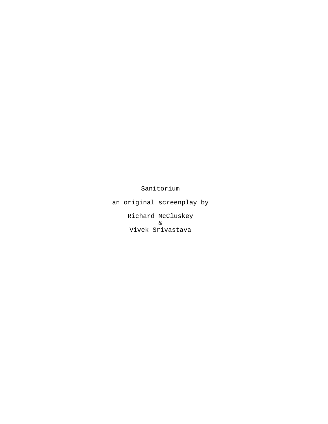Sanitorium

an original screenplay by

Richard McCluskey & Vivek Srivastava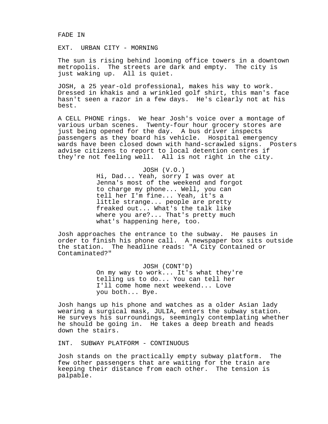#### FADE IN

# EXT. URBAN CITY - MORNING

The sun is rising behind looming office towers in a downtown metropolis. The streets are dark and empty. The city is just waking up. All is quiet.

JOSH, a 25 year-old professional, makes his way to work. Dressed in khakis and a wrinkled golf shirt, this man's face hasn't seen a razor in a few days. He's clearly not at his best.

A CELL PHONE rings. We hear Josh's voice over a montage of various urban scenes. Twenty-four hour grocery stores are just being opened for the day. A bus driver inspects passengers as they board his vehicle. Hospital emergency wards have been closed down with hand-scrawled signs. Posters advise citizens to report to local detention centres if they're not feeling well. All is not right in the city.

## JOSH (V.O.)

Hi, Dad... Yeah, sorry I was over at Jenna's most of the weekend and forgot to charge my phone... Well, you can tell her I'm fine... Yeah, it's a little strange... people are pretty freaked out... What's the talk like where you are?... That's pretty much what's happening here, too.

Josh approaches the entrance to the subway. He pauses in order to finish his phone call. A newspaper box sits outside the station. The headline reads: "A City Contained or Contaminated?"

> JOSH (CONT'D) On my way to work... It's what they're telling us to do... You can tell her I'll come home next weekend... Love you both... Bye.

Josh hangs up his phone and watches as a older Asian lady wearing a surgical mask, JULIA, enters the subway station. He surveys his surroundings, seemingly contemplating whether he should be going in. He takes a deep breath and heads down the stairs.

INT. SUBWAY PLATFORM - CONTINUOUS

Josh stands on the practically empty subway platform. The few other passengers that are waiting for the train are keeping their distance from each other. The tension is palpable.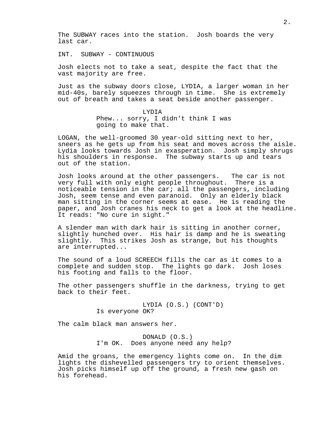The SUBWAY races into the station. Josh boards the very last car.

INT. SUBWAY - CONTINUOUS

Josh elects not to take a seat, despite the fact that the vast majority are free.

Just as the subway doors close, LYDIA, a larger woman in her mid-40s, barely squeezes through in time. She is extremely out of breath and takes a seat beside another passenger.

> LYDIA Phew... sorry, I didn't think I was going to make that.

LOGAN, the well-groomed 30 year-old sitting next to her, sneers as he gets up from his seat and moves across the aisle. Lydia looks towards Josh in exasperation. Josh simply shrugs his shoulders in response. The subway starts up and tears out of the station.

Josh looks around at the other passengers. The car is not very full with only eight people throughout. There is a noticeable tension in the car; all the passengers, including Josh, seem tense and even paranoid. Only an elderly black man sitting in the corner seems at ease. He is reading the paper, and Josh cranes his neck to get a look at the headline. It reads: "No cure in sight."

A slender man with dark hair is sitting in another corner, slightly hunched over. His hair is damp and he is sweating slightly. This strikes Josh as strange, but his thoughts are interrupted...

The sound of a loud SCREECH fills the car as it comes to a complete and sudden stop. The lights go dark. Josh loses his footing and falls to the floor.

The other passengers shuffle in the darkness, trying to get back to their feet.

> LYDIA (O.S.) (CONT'D) Is everyone OK?

The calm black man answers her.

DONALD (O.S.) I'm OK. Does anyone need any help?

Amid the groans, the emergency lights come on. In the dim lights the dishevelled passengers try to orient themselves. Josh picks himself up off the ground, a fresh new gash on his forehead.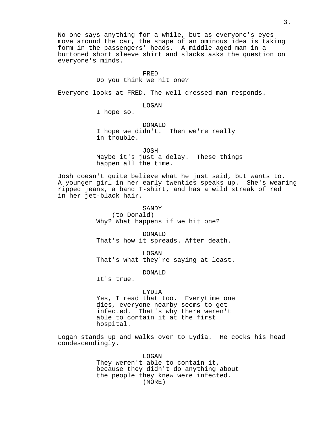No one says anything for a while, but as everyone's eyes move around the car, the shape of an ominous idea is taking form in the passengers' heads. A middle-aged man in a buttoned short sleeve shirt and slacks asks the question on everyone's minds.

#### FRED

#### Do you think we hit one?

Everyone looks at FRED. The well-dressed man responds.

LOGAN

I hope so.

DONALD I hope we didn't. Then we're really in trouble.

JOSH Maybe it's just a delay. These things happen all the time.

Josh doesn't quite believe what he just said, but wants to. A younger girl in her early twenties speaks up. She's wearing ripped jeans, a band T-shirt, and has a wild streak of red in her jet-black hair.

> SANDY (to Donald) Why? What happens if we hit one?

DONALD That's how it spreads. After death.

LOGAN That's what they're saying at least.

DONALD

It's true.

LYDIA Yes, I read that too. Everytime one dies, everyone nearby seems to get infected. That's why there weren't able to contain it at the first hospital.

Logan stands up and walks over to Lydia. He cocks his head condescendingly.

> LOGAN They weren't able to contain it, because they didn't do anything about the people they knew were infected. (MORE)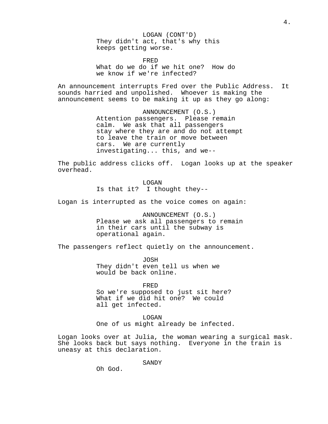LOGAN (CONT'D) They didn't act, that's why this keeps getting worse.

FRED What do we do if we hit one? How do we know if we're infected?

An announcement interrupts Fred over the Public Address. It sounds harried and unpolished. Whoever is making the announcement seems to be making it up as they go along:

> ANNOUNCEMENT (O.S.) Attention passengers. Please remain calm. We ask that all passengers stay where they are and do not attempt to leave the train or move between cars. We are currently investigating... this, and we--

The public address clicks off. Logan looks up at the speaker overhead.

> LOGAN Is that it? I thought they--

Logan is interrupted as the voice comes on again:

ANNOUNCEMENT (O.S.) Please we ask all passengers to remain in their cars until the subway is operational again.

The passengers reflect quietly on the announcement.

JOSH They didn't even tell us when we would be back online.

FRED So we're supposed to just sit here? What if we did hit one? We could all get infected.

LOGAN One of us might already be infected.

Logan looks over at Julia, the woman wearing a surgical mask. She looks back but says nothing. Everyone in the train is uneasy at this declaration.

SANDY

Oh God.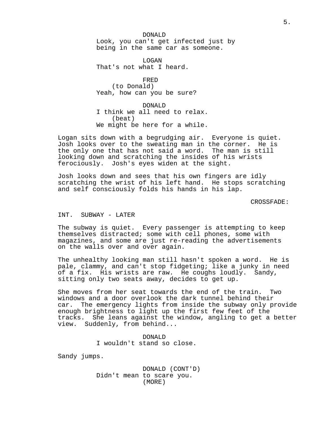DONALD Look, you can't get infected just by being in the same car as someone.

LOGAN That's not what I heard.

FRED (to Donald) Yeah, how can you be sure?

DONALD I think we all need to relax. (beat) We might be here for a while.

Logan sits down with a begrudging air. Everyone is quiet. Josh looks over to the sweating man in the corner. He is the only one that has not said a word. The man is still looking down and scratching the insides of his wrists ferociously. Josh's eyes widen at the sight.

Josh looks down and sees that his own fingers are idly scratching the wrist of his left hand. He stops scratching and self consciously folds his hands in his lap.

CROSSFADE:

## INT. SUBWAY - LATER

The subway is quiet. Every passenger is attempting to keep themselves distracted; some with cell phones, some with magazines, and some are just re-reading the advertisements on the walls over and over again.

The unhealthy looking man still hasn't spoken a word. He is pale, clammy, and can't stop fidgeting; like a junky in need of a fix. His wrists are raw. He coughs loudly. Sandy, sitting only two seats away, decides to get up.

She moves from her seat towards the end of the train. Two windows and a door overlook the dark tunnel behind their car. The emergency lights from inside the subway only provide enough brightness to light up the first few feet of the tracks. She leans against the window, angling to get a better view. Suddenly, from behind...

> DONALD I wouldn't stand so close.

Sandy jumps.

DONALD (CONT'D) Didn't mean to scare you. (MORE)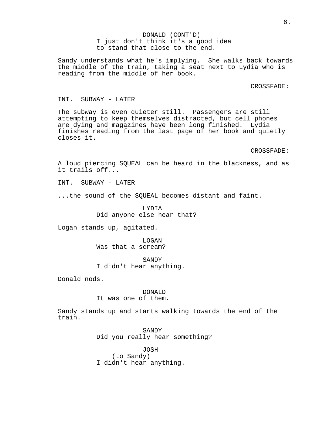DONALD (CONT'D) I just don't think it's a good idea to stand that close to the end.

Sandy understands what he's implying. She walks back towards the middle of the train, taking a seat next to Lydia who is reading from the middle of her book.

CROSSFADE:

### INT. SUBWAY - LATER

The subway is even quieter still. Passengers are still attempting to keep themselves distracted, but cell phones are dying and magazines have been long finished. Lydia finishes reading from the last page of her book and quietly closes it.

CROSSFADE:

A loud piercing SQUEAL can be heard in the blackness, and as it trails off...

INT. SUBWAY - LATER

...the sound of the SQUEAL becomes distant and faint.

LYDIA Did anyone else hear that?

Logan stands up, agitated.

LOGAN Was that a scream?

SANDY I didn't hear anything.

Donald nods.

# DONALD It was one of them.

Sandy stands up and starts walking towards the end of the train.

> SANDY Did you really hear something?

JOSH (to Sandy) I didn't hear anything.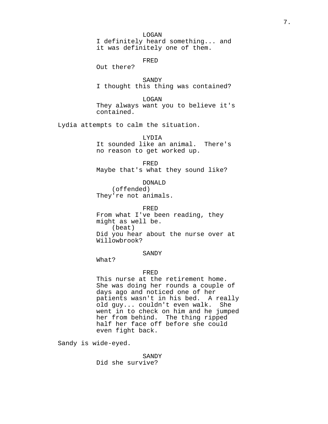LOGAN I definitely heard something... and it was definitely one of them.

FRED

Out there?

SANDY I thought this thing was contained?

LOGAN They always want you to believe it's contained.

Lydia attempts to calm the situation.

LYDIA It sounded like an animal. There's no reason to get worked up.

FRED Maybe that's what they sound like?

DONALD (offended) They're not animals.

FRED From what I've been reading, they might as well be. (beat) Did you hear about the nurse over at Willowbrook?

# SANDY

What?

# FRED

This nurse at the retirement home. She was doing her rounds a couple of days ago and noticed one of her patients wasn't in his bed. A really old guy... couldn't even walk. She went in to check on him and he jumped her from behind. The thing ripped half her face off before she could even fight back.

Sandy is wide-eyed.

SANDY Did she survive?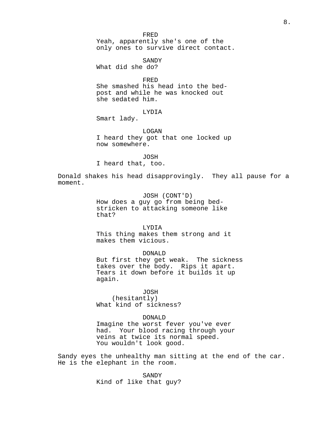FRED Yeah, apparently she's one of the only ones to survive direct contact.

SANDY What did she do?

FRED

She smashed his head into the bedpost and while he was knocked out she sedated him.

# LYDIA

Smart lady.

## LOGAN

I heard they got that one locked up now somewhere.

JOSH

I heard that, too.

Donald shakes his head disapprovingly. They all pause for a moment.

> JOSH (CONT'D) How does a guy go from being bedstricken to attacking someone like that?

#### LYDIA

This thing makes them strong and it makes them vicious.

DONALD But first they get weak. The sickness takes over the body. Rips it apart. Tears it down before it builds it up again.

JOSH

(hesitantly) What kind of sickness?

## DONALD

Imagine the worst fever you've ever had. Your blood racing through your veins at twice its normal speed. You wouldn't look good.

Sandy eyes the unhealthy man sitting at the end of the car. He is the elephant in the room.

> SANDY Kind of like that guy?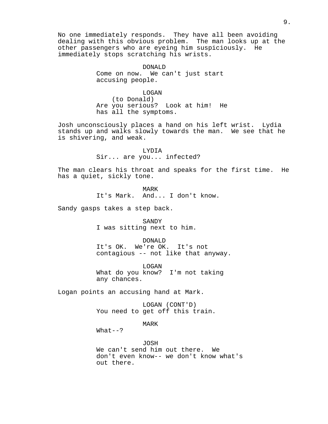No one immediately responds. They have all been avoiding dealing with this obvious problem. The man looks up at the other passengers who are eyeing him suspiciously. He immediately stops scratching his wrists.

> DONALD Come on now. We can't just start accusing people.

> > LOGAN

(to Donald) Are you serious? Look at him! He has all the symptoms.

Josh unconsciously places a hand on his left wrist. Lydia stands up and walks slowly towards the man. We see that he is shivering, and weak.

> LYDIA Sir... are you... infected?

The man clears his throat and speaks for the first time. He has a quiet, sickly tone.

> MARK It's Mark. And... I don't know.

Sandy gasps takes a step back.

SANDY I was sitting next to him.

DONALD It's OK. We're OK. It's not contagious -- not like that anyway.

LOGAN What do you know? I'm not taking any chances.

Logan points an accusing hand at Mark.

LOGAN (CONT'D) You need to get off this train.

MARK

 $What--?$ 

JOSH We can't send him out there. We don't even know-- we don't know what's out there.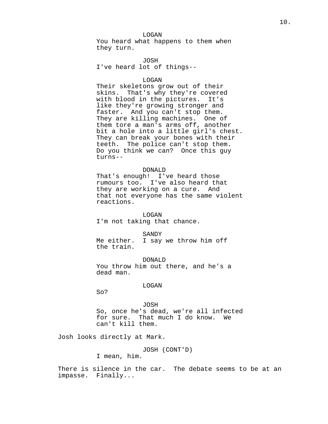LOGAN You heard what happens to them when they turn.

JOSH I've heard lot of things--

#### LOGAN

Their skeletons grow out of their skins. That's why they're covered with blood in the pictures. It's like they're growing stronger and faster. And you can't stop them. They are killing machines. One of them tore a man's arms off, another bit a hole into a little girl's chest. They can break your bones with their teeth. The police can't stop them. Do you think we can? Once this guy turns--

### DONALD

That's enough! I've heard those rumours too. I've also heard that they are working on a cure. And that not everyone has the same violent reactions.

# LOGAN

I'm not taking that chance.

### SANDY

Me either. I say we throw him off the train.

DONALD You throw him out there, and he's a dead man.

# LOGAN

So?

# JOSH So, once he's dead, we're all infected for sure. That much I do know. We can't kill them.

Josh looks directly at Mark.

JOSH (CONT'D)

I mean, him.

There is silence in the car. The debate seems to be at an impasse. Finally...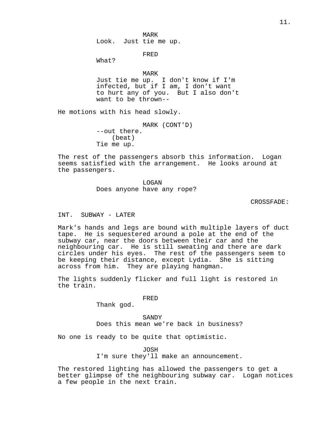MARK Look. Just tie me up.

FRED

What?

## MARK

Just tie me up. I don't know if I'm infected, but if I am, I don't want to hurt any of you. But I also don't want to be thrown--

He motions with his head slowly.

MARK (CONT'D) --out there. (beat) Tie me up.

The rest of the passengers absorb this information. Logan seems satisfied with the arrangement. He looks around at the passengers.

> LOGAN Does anyone have any rope?

> > CROSSFADE:

# INT. SUBWAY - LATER

Mark's hands and legs are bound with multiple layers of duct tape. He is sequestered around a pole at the end of the subway car, near the doors between their car and the neighbouring car. He is still sweating and there are dark circles under his eyes. The rest of the passengers seem to be keeping their distance, except Lydia. She is sitting across from him. They are playing hangman.

The lights suddenly flicker and full light is restored in the train.

FRED

Thank god.

SANDY Does this mean we're back in business?

No one is ready to be quite that optimistic.

JOSH

I'm sure they'll make an announcement.

The restored lighting has allowed the passengers to get a better glimpse of the neighbouring subway car. Logan notices a few people in the next train.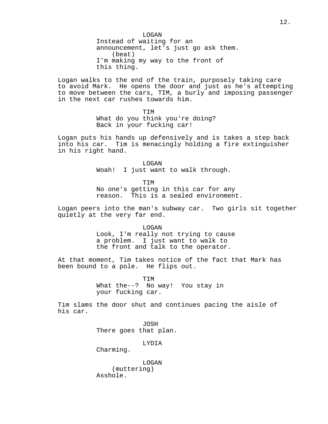LOGAN Instead of waiting for an announcement, let's just go ask them. (beat) I'm making my way to the front of this thing.

Logan walks to the end of the train, purposely taking care to avoid Mark. He opens the door and just as he's attempting to move between the cars, TIM, a burly and imposing passenger in the next car rushes towards him.

> **TTM** What do you think you're doing? Back in your fucking car!

Logan puts his hands up defensively and is takes a step back into his car. Tim is menacingly holding a fire extinguisher in his right hand.

> LOGAN Woah! I just want to walk through.

> > TIM

No one's getting in this car for any reason. This is a sealed environment.

Logan peers into the man's subway car. Two girls sit together quietly at the very far end.

> LOGAN Look, I'm really not trying to cause a problem. I just want to walk to the front and talk to the operator.

At that moment, Tim takes notice of the fact that Mark has been bound to a pole. He flips out.

> TIM What the--? No way! You stay in your fucking car.

Tim slams the door shut and continues pacing the aisle of his car.

> JOSH There goes that plan.

> > LYDIA

Charming.

LOGAN (muttering) Asshole.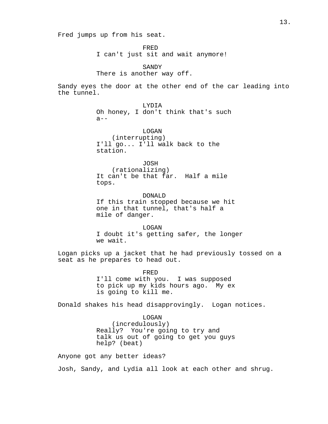Fred jumps up from his seat.

FRED I can't just sit and wait anymore!

SANDY There is another way off.

Sandy eyes the door at the other end of the car leading into the tunnel.

> LYDIA Oh honey, I don't think that's such  $a--$

LOGAN (interrupting) I'll go... I'll walk back to the station.

JOSH

(rationalizing) It can't be that far. Half a mile tops.

DONALD If this train stopped because we hit one in that tunnel, that's half a mile of danger.

LOGAN I doubt it's getting safer, the longer we wait.

Logan picks up a jacket that he had previously tossed on a seat as he prepares to head out.

> FRED I'll come with you. I was supposed to pick up my kids hours ago. My ex is going to kill me.

Donald shakes his head disapprovingly. Logan notices.

LOGAN (incredulously) Really? You're going to try and talk us out of going to get you guys help? (beat)

Anyone got any better ideas?

Josh, Sandy, and Lydia all look at each other and shrug.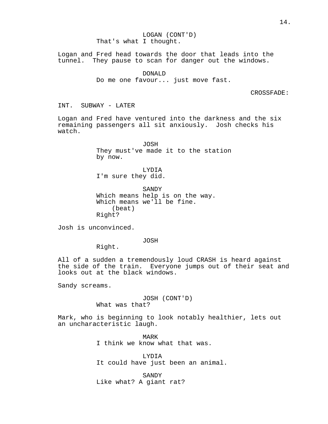LOGAN (CONT'D) That's what I thought.

Logan and Fred head towards the door that leads into the tunnel. They pause to scan for danger out the windows.

> DONALD Do me one favour... just move fast.

> > CROSSFADE:

INT. SUBWAY - LATER

Logan and Fred have ventured into the darkness and the six remaining passengers all sit anxiously. Josh checks his watch.

> JOSH They must've made it to the station by now.

LYDIA I'm sure they did.

SANDY Which means help is on the way. Which means we'll be fine. (beat) Right?

Josh is unconvinced.

JOSH

Right.

All of a sudden a tremendously loud CRASH is heard against the side of the train. Everyone jumps out of their seat and looks out at the black windows.

Sandy screams.

JOSH (CONT'D) What was that?

Mark, who is beginning to look notably healthier, lets out an uncharacteristic laugh.

> MARK I think we know what that was.

LYDIA It could have just been an animal.

SANDY Like what? A giant rat?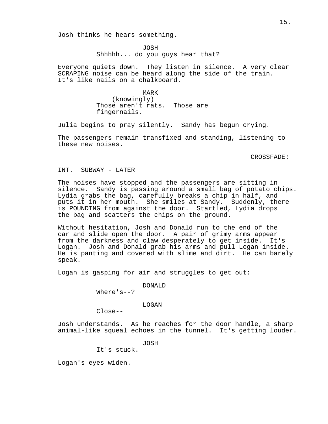Josh thinks he hears something.

JOSH Shhhhh... do you guys hear that?

Everyone quiets down. They listen in silence. A very clear SCRAPING noise can be heard along the side of the train. It's like nails on a chalkboard.

> MARK (knowingly) Those aren't rats. Those are fingernails.

Julia begins to pray silently. Sandy has begun crying.

The passengers remain transfixed and standing, listening to these new noises.

CROSSFADE:

## INT. SUBWAY - LATER

The noises have stopped and the passengers are sitting in silence. Sandy is passing around a small bag of potato chips. Lydia grabs the bag, carefully breaks a chip in half, and puts it in her mouth. She smiles at Sandy. Suddenly, there is POUNDING from against the door. Startled, Lydia drops the bag and scatters the chips on the ground.

Without hesitation, Josh and Donald run to the end of the car and slide open the door. A pair of grimy arms appear from the darkness and claw desperately to get inside. It's Logan. Josh and Donald grab his arms and pull Logan inside. He is panting and covered with slime and dirt. He can barely speak.

Logan is gasping for air and struggles to get out:

DONALD

Where's--?

LOGAN

 $C1$ ose--

Josh understands. As he reaches for the door handle, a sharp animal-like squeal echoes in the tunnel. It's getting louder.

JOSH

It's stuck.

Logan's eyes widen.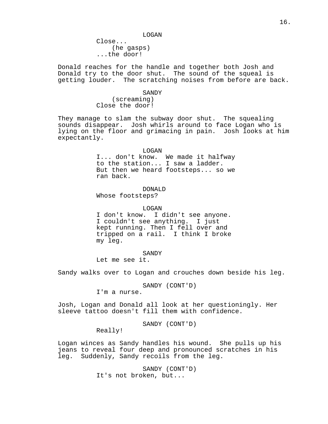LOGAN

Close... (he gasps) ...the door!

Donald reaches for the handle and together both Josh and Donald try to the door shut. The sound of the squeal is getting louder. The scratching noises from before are back.

#### SANDY

(screaming) Close the door!

They manage to slam the subway door shut. The squealing sounds disappear. Josh whirls around to face Logan who is lying on the floor and grimacing in pain. Josh looks at him expectantly.

### LOGAN

I... don't know. We made it halfway to the station... I saw a ladder. But then we heard footsteps... so we ran back.

DONALD

Whose footsteps?

LOGAN

I don't know. I didn't see anyone. I couldn't see anything. I just kept running. Then I fell over and tripped on a rail. I think I broke my leg.

SANDY

Let me see it.

Sandy walks over to Logan and crouches down beside his leg.

SANDY (CONT'D)

I'm a nurse.

Josh, Logan and Donald all look at her questioningly. Her sleeve tattoo doesn't fill them with confidence.

SANDY (CONT'D)

Really!

Logan winces as Sandy handles his wound. She pulls up his jeans to reveal four deep and pronounced scratches in his leg. Suddenly, Sandy recoils from the leg.

> SANDY (CONT'D) It's not broken, but...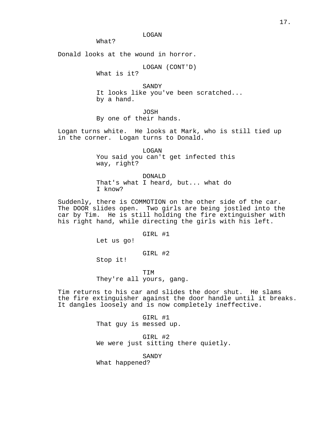LOGAN

What?

Donald looks at the wound in horror.

LOGAN (CONT'D)

What is it?

SANDY It looks like you've been scratched... by a hand.

JOSH

By one of their hands.

Logan turns white. He looks at Mark, who is still tied up in the corner. Logan turns to Donald.

> LOGAN You said you can't get infected this way, right?

DONALD That's what I heard, but... what do I know?

Suddenly, there is COMMOTION on the other side of the car. The DOOR slides open. Two girls are being jostled into the car by Tim. He is still holding the fire extinguisher with his right hand, while directing the girls with his left.

### GIRL #1

Let us go!

GIRL #2

Stop it!

TIM They're all yours, gang.

Tim returns to his car and slides the door shut. He slams the fire extinguisher against the door handle until it breaks. It dangles loosely and is now completely ineffective.

> GIRL #1 That guy is messed up.

GIRL #2 We were just sitting there quietly.

SANDY

What happened?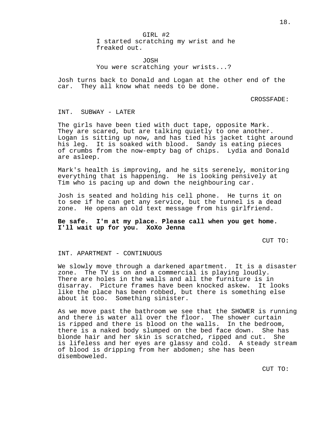GIRL #2 I started scratching my wrist and he freaked out.

JOSH You were scratching your wrists...?

Josh turns back to Donald and Logan at the other end of the car. They all know what needs to be done.

CROSSFADE:

## INT. SUBWAY - LATER

The girls have been tied with duct tape, opposite Mark. They are scared, but are talking quietly to one another. Logan is sitting up now, and has tied his jacket tight around his leg. It is soaked with blood. Sandy is eating pieces of crumbs from the now-empty bag of chips. Lydia and Donald are asleep.

Mark's health is improving, and he sits serenely, monitoring everything that is happening. He is looking pensively at Tim who is pacing up and down the neighbouring car.

Josh is seated and holding his cell phone. He turns it on to see if he can get any service, but the tunnel is a dead zone. He opens an old text message from his girlfriend.

**Be safe. I'm at my place. Please call when you get home. I'll wait up for you. XoXo Jenna**

CUT TO:

## INT. APARTMENT - CONTINUOUS

We slowly move through a darkened apartment. It is a disaster zone. The TV is on and a commercial is playing loudly. There are holes in the walls and all the furniture is in disarray. Picture frames have been knocked askew. It looks like the place has been robbed, but there is something else about it too. Something sinister.

As we move past the bathroom we see that the SHOWER is running and there is water all over the floor. The shower curtain is ripped and there is blood on the walls. In the bedroom, there is a naked body slumped on the bed face down. She has blonde hair and her skin is scratched, ripped and cut. She is lifeless and her eyes are glassy and cold. A steady stream of blood is dripping from her abdomen; she has been disemboweled.

CUT TO: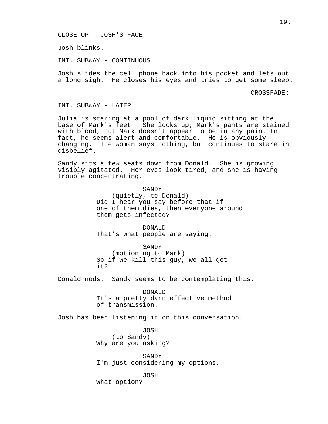CLOSE UP - JOSH'S FACE

Josh blinks.

INT. SUBWAY - CONTINUOUS

Josh slides the cell phone back into his pocket and lets out a long sigh. He closes his eyes and tries to get some sleep.

CROSSFADE:

INT. SUBWAY - LATER

Julia is staring at a pool of dark liquid sitting at the base of Mark's feet. She looks up; Mark's pants are stained with blood, but Mark doesn't appear to be in any pain. In fact, he seems alert and comfortable. He is obviously changing. The woman says nothing, but continues to stare in disbelief.

Sandy sits a few seats down from Donald. She is growing visibly agitated. Her eyes look tired, and she is having trouble concentrating.

> SANDY (quietly, to Donald) Did I hear you say before that if one of them dies, then everyone around them gets infected?

DONALD That's what people are saying.

SANDY

(motioning to Mark) So if we kill this guy, we all get it?

Donald nods. Sandy seems to be contemplating this.

DONALD It's a pretty darn effective method of transmission.

Josh has been listening in on this conversation.

JOSH (to Sandy) Why are you asking?

SANDY I'm just considering my options.

JOSH What option?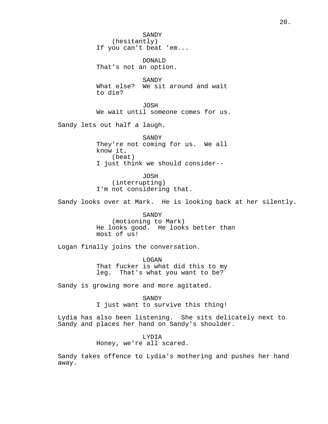SANDY (hesitantly) If you can't beat 'em...

DONALD That's not an option.

SANDY What else? We sit around and wait to die?

JOSH We wait until someone comes for us.

Sandy lets out half a laugh.

SANDY They're not coming for us. We all know it. (beat) I just think we should consider--

JOSH (interrupting) I'm not considering that.

Sandy looks over at Mark. He is looking back at her silently.

SANDY (motioning to Mark) He looks good. He looks better than most of us!

Logan finally joins the conversation.

LOGAN That fucker is what did this to my leg. That's what you want to be?

Sandy is growing more and more agitated.

SANDY I just want to survive this thing!

Lydia has also been listening. She sits delicately next to Sandy and places her hand on Sandy's shoulder.

> LYDIA Honey, we're all scared.

Sandy takes offence to Lydia's mothering and pushes her hand away.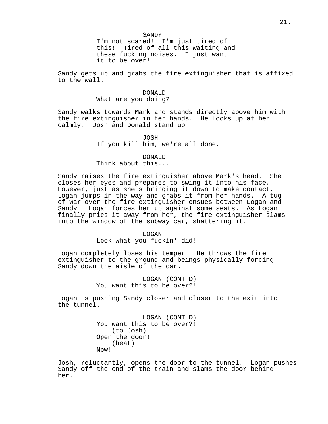## SANDY

I'm not scared! I'm just tired of this! Tired of all this waiting and these fucking noises. I just want it to be over!

Sandy gets up and grabs the fire extinguisher that is affixed to the wall.

# DONALD

# What are you doing?

Sandy walks towards Mark and stands directly above him with the fire extinguisher in her hands. He looks up at her calmly. Josh and Donald stand up.

> JOSH If you kill him, we're all done.

## DONALD

# Think about this...

Sandy raises the fire extinguisher above Mark's head. She closes her eyes and prepares to swing it into his face. However, just as she's bringing it down to make contact, Logan jumps in the way and grabs it from her hands. A tug of war over the fire extinguisher ensues between Logan and Sandy. Logan forces her up against some seats. As Logan finally pries it away from her, the fire extinguisher slams into the window of the subway car, shattering it.

### LOGAN

Look what you fuckin' did!

Logan completely loses his temper. He throws the fire extinguisher to the ground and beings physically forcing Sandy down the aisle of the car.

> LOGAN (CONT'D) You want this to be over?!

Logan is pushing Sandy closer and closer to the exit into the tunnel.

> LOGAN (CONT'D) You want this to be over?! (to Josh) Open the door! (beat) Now!

Josh, reluctantly, opens the door to the tunnel. Logan pushes Sandy off the end of the train and slams the door behind her.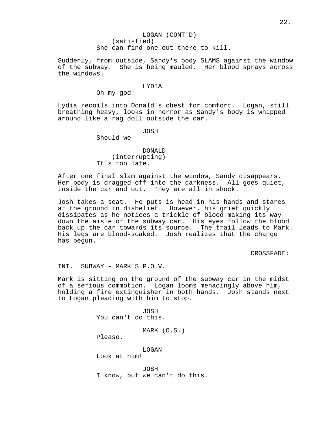Suddenly, from outside, Sandy's body SLAMS against the window of the subway. She is being mauled. Her blood sprays across the windows.

### LYDIA

Oh my god!

Lydia recoils into Donald's chest for comfort. Logan, still breathing heavy, looks in horror as Sandy's body is whipped around like a rag doll outside the car.

JOSH

Should we--

DONALD (interrupting) It's too late.

After one final slam against the window, Sandy disappears. Her body is dragged off into the darkness. All goes quiet, inside the car and out. They are all in shock.

Josh takes a seat. He puts is head in his hands and stares at the ground in disbelief. However, his grief quickly dissipates as he notices a trickle of blood making its way down the aisle of the subway car. His eyes follow the blood back up the car towards its source. The trail leads to Mark. His legs are blood-soaked. Josh realizes that the change has begun.

CROSSFADE:

INT. SUBWAY - MARK'S P.O.V.

Mark is sitting on the ground of the subway car in the midst of a serious commotion. Logan looms menacingly above him, holding a fire extinguisher in both hands. Josh stands next to Logan pleading with him to stop.

> JOSH You can't do this.

> > MARK (O.S.)

Please.

LOGAN Look at him!

JOSH I know, but we can't do this.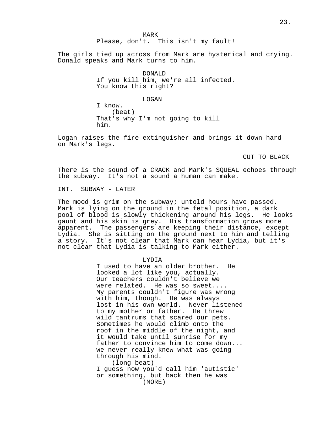MARK

Please, don't. This isn't my fault!

The girls tied up across from Mark are hysterical and crying. Donald speaks and Mark turns to him.

> DONALD If you kill him, we're all infected. You know this right?

> > LOGAN

I know. (beat) That's why I'm not going to kill him.

Logan raises the fire extinguisher and brings it down hard on Mark's legs.

CUT TO BLACK

There is the sound of a CRACK and Mark's SQUEAL echoes through the subway. It's not a sound a human can make.

INT. SUBWAY - LATER

The mood is grim on the subway; untold hours have passed. Mark is lying on the ground in the fetal position, a dark pool of blood is slowly thickening around his legs. He looks gaunt and his skin is grey. His transformation grows more apparent. The passengers are keeping their distance, except Lydia. She is sitting on the ground next to him and telling a story. It's not clear that Mark can hear Lydia, but it's not clear that Lydia is talking to Mark either.

### LYDIA

I used to have an older brother. He looked a lot like you, actually. Our teachers couldn't believe we were related. He was so sweet.... My parents couldn't figure was wrong with him, though. He was always lost in his own world. Never listened to my mother or father. He threw wild tantrums that scared our pets. Sometimes he would climb onto the roof in the middle of the night, and it would take until sunrise for my father to convince him to come down... we never really knew what was going through his mind. (long beat)

I guess now you'd call him 'autistic' or something, but back then he was (MORE)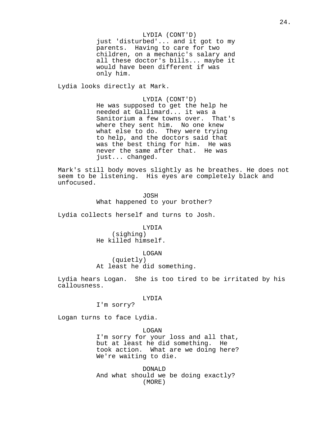## LYDIA (CONT'D)

just 'disturbed'... and it got to my parents. Having to care for two children, on a mechanic's salary and all these doctor's bills... maybe it would have been different if was only him.

Lydia looks directly at Mark.

LYDIA (CONT'D) He was supposed to get the help he needed at Gallimard... it was a Sanitorium a few towns over. That's where they sent him. No one knew what else to do. They were trying to help, and the doctors said that was the best thing for him. He was never the same after that. He was just... changed.

Mark's still body moves slightly as he breathes. He does not seem to be listening. His eyes are completely black and unfocused.

> JOSH What happened to your brother?

Lydia collects herself and turns to Josh.

LYDIA (sighing) He killed himself.

LOGAN (quietly) At least he did something.

Lydia hears Logan. She is too tired to be irritated by his callousness.

LYDIA

I'm sorry?

Logan turns to face Lydia.

LOGAN I'm sorry for your loss and all that, but at least he did something. He took action. What are we doing here? We're waiting to die.

DONALD And what should we be doing exactly? (MORE)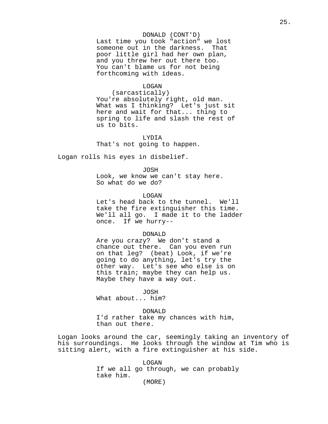# DONALD (CONT'D)

Last time you took "action" we lost someone out in the darkness. That poor little girl had her own plan, and you threw her out there too. You can't blame us for not being forthcoming with ideas.

## LOGAN

(sarcastically) You're absolutely right, old man. What was I thinking? Let's just sit here and wait for that... thing to spring to life and slash the rest of us to bits.

LYDIA That's not going to happen.

Logan rolls his eyes in disbelief.

JOSH

Look, we know we can't stay here. So what do we do?

LOGAN

Let's head back to the tunnel. We'll take the fire extinguisher this time. We'll all go. I made it to the ladder once. If we hurry--

#### DONALD

Are you crazy? We don't stand a chance out there. Can you even run on that leg? (beat) Look, if we're going to do anything, let's try the other way. Let's see who else is on this train; maybe they can help us. Maybe they have a way out.

JOSH

What about... him?

DONALD

I'd rather take my chances with him, than out there.

Logan looks around the car, seemingly taking an inventory of his surroundings. He looks through the window at Tim who is sitting alert, with a fire extinguisher at his side.

> LOGAN If we all go through, we can probably take him.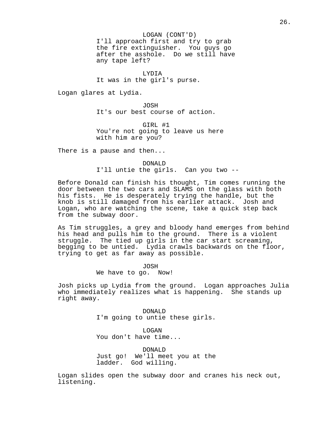## LOGAN (CONT'D)

I'll approach first and try to grab the fire extinguisher. You guys go after the asshole. Do we still have any tape left?

LYDIA It was in the girl's purse.

Logan glares at Lydia.

JOSH It's our best course of action.

GIRL #1 You're not going to leave us here with him are you?

There is a pause and then...

DONALD I'll untie the girls. Can you two --

Before Donald can finish his thought, Tim comes running the door between the two cars and SLAMS on the glass with both his fists. He is desperately trying the handle, but the knob is still damaged from his earlier attack. Josh and Logan, who are watching the scene, take a quick step back from the subway door.

As Tim struggles, a grey and bloody hand emerges from behind his head and pulls him to the ground. There is a violent struggle. The tied up girls in the car start screaming, begging to be untied. Lydia crawls backwards on the floor, trying to get as far away as possible.

> JOSH We have to go. Now!

Josh picks up Lydia from the ground. Logan approaches Julia who immediately realizes what is happening. She stands up right away.

> DONALD I'm going to untie these girls.

LOGAN You don't have time...

DONALD Just go! We'll meet you at the ladder. God willing.

Logan slides open the subway door and cranes his neck out, listening.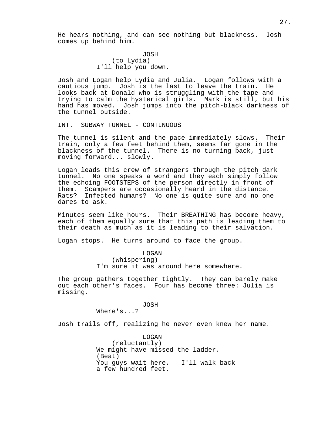He hears nothing, and can see nothing but blackness. Josh comes up behind him.

> JOSH (to Lydia) I'll help you down.

Josh and Logan help Lydia and Julia. Logan follows with a cautious jump. Josh is the last to leave the train. He looks back at Donald who is struggling with the tape and trying to calm the hysterical girls. Mark is still, but his hand has moved. Josh jumps into the pitch-black darkness of the tunnel outside.

INT. SUBWAY TUNNEL - CONTINUOUS

The tunnel is silent and the pace immediately slows. Their train, only a few feet behind them, seems far gone in the blackness of the tunnel. There is no turning back, just moving forward... slowly.

Logan leads this crew of strangers through the pitch dark tunnel. No one speaks a word and they each simply follow the echoing FOOTSTEPS of the person directly in front of them. Scampers are occasionally heard in the distance. Rats? Infected humans? No one is quite sure and no one dares to ask.

Minutes seem like hours. Their BREATHING has become heavy, each of them equally sure that this path is leading them to their death as much as it is leading to their salvation.

Logan stops. He turns around to face the group.

LOGAN (whispering) I'm sure it was around here somewhere.

The group gathers together tightly. They can barely make out each other's faces. Four has become three: Julia is missing.

JOSH

Where's...?

Josh trails off, realizing he never even knew her name.

LOGAN (reluctantly) We might have missed the ladder. (Beat) You guys wait here. I'll walk back a few hundred feet.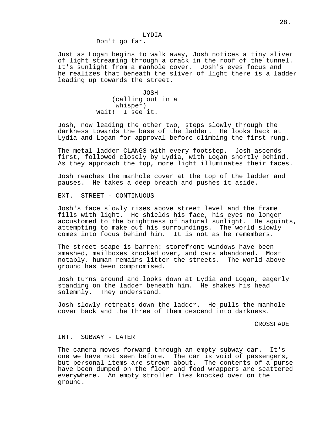## LYDIA

Don't go far.

Just as Logan begins to walk away, Josh notices a tiny sliver of light streaming through a crack in the roof of the tunnel. It's sunlight from a manhole cover. Josh's eyes focus and he realizes that beneath the sliver of light there is a ladder leading up towards the street.

> JOSH (calling out in a whisper) Wait! I see it.

Josh, now leading the other two, steps slowly through the darkness towards the base of the ladder. He looks back at Lydia and Logan for approval before climbing the first rung.

The metal ladder CLANGS with every footstep. Josh ascends first, followed closely by Lydia, with Logan shortly behind. As they approach the top, more light illuminates their faces.

Josh reaches the manhole cover at the top of the ladder and pauses. He takes a deep breath and pushes it aside.

EXT. STREET - CONTINUOUS

Josh's face slowly rises above street level and the frame fills with light. He shields his face, his eyes no longer accustomed to the brightness of natural sunlight. He squints, attempting to make out his surroundings. The world slowly comes into focus behind him. It is not as he remembers.

The street-scape is barren: storefront windows have been smashed, mailboxes knocked over, and cars abandoned. Most notably, human remains litter the streets. The world above ground has been compromised.

Josh turns around and looks down at Lydia and Logan, eagerly standing on the ladder beneath him. He shakes his head solemnly. They understand.

Josh slowly retreats down the ladder. He pulls the manhole cover back and the three of them descend into darkness.

CROSSFADE

## INT. SUBWAY - LATER

The camera moves forward through an empty subway car. It's one we have not seen before. The car is void of passengers, but personal items are strewn about. The contents of a purse have been dumped on the floor and food wrappers are scattered everywhere. An empty stroller lies knocked over on the ground.